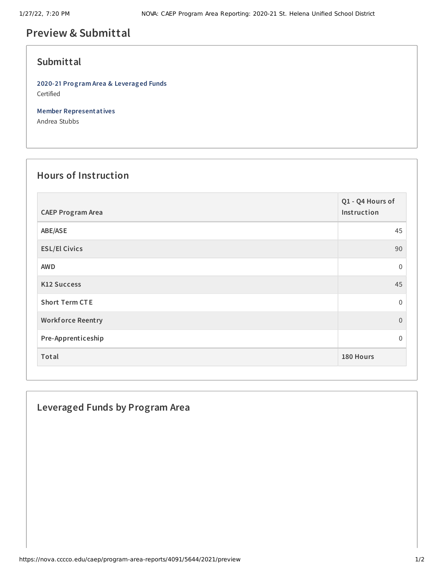# **Preview & Submittal**

#### **Submittal**

**2020-21 Program Area & Leveraged Funds** Certified

**Member Representatives**

Andrea Stubbs

## **Hours of Instruction**

| <b>CAEP Program Area</b> | Q1 - Q4 Hours of<br>Instruction |
|--------------------------|---------------------------------|
| ABE/ASE                  | 45                              |
| <b>ESL/El Civics</b>     | 90                              |
| <b>AWD</b>               | $\mathbf 0$                     |
| <b>K12 Success</b>       | 45                              |
| <b>Short Term CTE</b>    | $\Omega$                        |
| <b>Workforce Reentry</b> | $\overline{0}$                  |
| Pre-Apprenticeship       | 0                               |
| Total                    | 180 Hours                       |

#### **Leveraged Funds by Program Area**